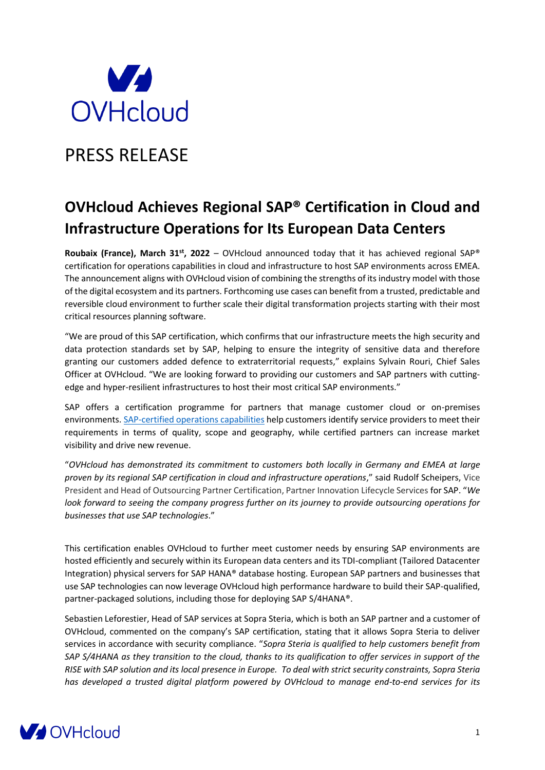

# PRESS RELEASE

# **OVHcloud Achieves Regional SAP® Certification in Cloud and Infrastructure Operations for Its European Data Centers**

**Roubaix (France), March 31st, 2022** – OVHcloud announced today that it has achieved regional SAP® certification for operations capabilities in cloud and infrastructure to host SAP environments across EMEA. The announcement aligns with OVHcloud vision of combining the strengths of its industry model with those of the digital ecosystem and its partners. Forthcoming use cases can benefit from a trusted, predictable and reversible cloud environment to further scale their digital transformation projects starting with their most critical resources planning software.

"We are proud of this SAP certification, which confirms that our infrastructure meets the high security and data protection standards set by SAP, helping to ensure the integrity of sensitive data and therefore granting our customers added defence to extraterritorial requests," explains Sylvain Rouri, Chief Sales Officer at OVHcloud. "We are looking forward to providing our customers and SAP partners with cuttingedge and hyper-resilient infrastructures to host their most critical SAP environments."

SAP offers a certification programme for partners that manage customer cloud or on-premises environments. [SAP-certified operations capabilities](https://www.sap.com/dmc/exp/2018_Partner_Guide/#/) help customers identify service providers to meet their requirements in terms of quality, scope and geography, while certified partners can increase market visibility and drive new revenue.

"*OVHcloud has demonstrated its commitment to customers both locally in Germany and EMEA at large proven by its regional SAP certification in cloud and infrastructure operations*," said Rudolf Scheipers, Vice President and Head of Outsourcing Partner Certification, Partner Innovation Lifecycle Services for SAP. "*We look forward to seeing the company progress further on its journey to provide outsourcing operations for businesses that use SAP technologies*."

This certification enables OVHcloud to further meet customer needs by ensuring SAP environments are hosted efficiently and securely within its European data centers and its TDI-compliant (Tailored Datacenter Integration) physical servers for SAP HANA® database hosting. European SAP partners and businesses that use SAP technologies can now leverage OVHcloud high performance hardware to build their SAP-qualified, partner-packaged solutions, including those for deploying SAP S/4HANA®.

Sebastien Leforestier, Head of SAP services at Sopra Steria, which is both an SAP partner and a customer of OVHcloud, commented on the company's SAP certification, stating that it allows Sopra Steria to deliver services in accordance with security compliance. "*Sopra Steria is qualified to help customers benefit from SAP S/4HANA as they transition to the cloud, thanks to its qualification to offer services in support of the RISE with SAP solution and its local presence in Europe. To deal with strict security constraints, Sopra Steria has developed a trusted digital platform powered by OVHcloud to manage end-to-end services for its*